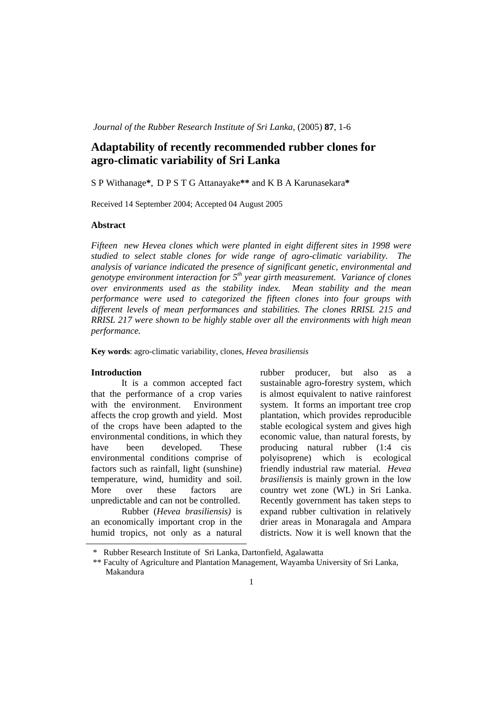*Journal of the Rubber Research Institute of Sri Lanka, (2005)* 87, 1-6

# **Adaptability of recently recommended rubber clones for agro-climatic variability of Sri Lanka**

S P Withanage**\***, D P S T G Attanayake**\*\*** and K B A Karunasekara**\*** 

Received 14 September 2004; Accepted 04 August 2005

## **Abstract**

*Fifteen new Hevea clones which were planted in eight different sites in 1998 were studied to select stable clones for wide range of agro-climatic variability. The analysis of variance indicated the presence of significant genetic, environmental and genotype environment interaction for 5th year girth measurement. Variance of clones over environments used as the stability index. Mean stability and the mean performance were used to categorized the fifteen clones into four groups with different levels of mean performances and stabilities. The clones RRISL 215 and RRISL 217 were shown to be highly stable over all the environments with high mean performance.* 

**Key words**: agro-climatic variability, clones, *Hevea brasiliensis*

## **Introduction**

It is a common accepted fact that the performance of a crop varies with the environment. Environment affects the crop growth and yield. Most of the crops have been adapted to the environmental conditions, in which they have been developed. These environmental conditions comprise of factors such as rainfall, light (sunshine) temperature, wind, humidity and soil. More over these factors are unpredictable and can not be controlled.

 Rubber (*Hevea brasiliensis)* is an economically important crop in the humid tropics, not only as a natural rubber producer, but also as a sustainable agro-forestry system, which is almost equivalent to native rainforest system. It forms an important tree crop plantation, which provides reproducible stable ecological system and gives high economic value, than natural forests, by producing natural rubber (1:4 cis polyisoprene) which is ecological friendly industrial raw material*. Hevea brasiliensis* is mainly grown in the low country wet zone (WL) in Sri Lanka. Recently government has taken steps to expand rubber cultivation in relatively drier areas in Monaragala and Ampara districts. Now it is well known that the

<sup>\*</sup> Rubber Research Institute of Sri Lanka, Dartonfield, Agalawatta

<sup>\*\*</sup> Faculty of Agriculture and Plantation Management, Wayamba University of Sri Lanka, Makandura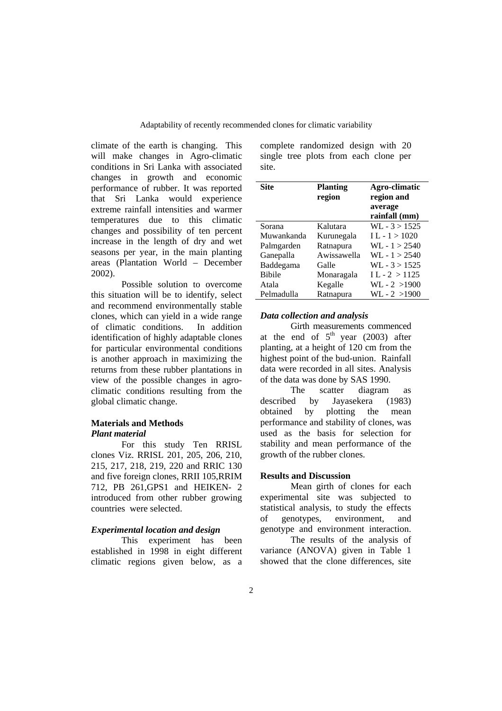climate of the earth is changing. This will make changes in Agro-climatic conditions in Sri Lanka with associated changes in growth and economic performance of rubber. It was reported that Sri Lanka would experience extreme rainfall intensities and warmer temperatures due to this climatic changes and possibility of ten percent increase in the length of dry and wet seasons per year, in the main planting areas (Plantation World – December 2002).

Possible solution to overcome this situation will be to identify, select and recommend environmentally stable clones, which can yield in a wide range of climatic conditions. In addition identification of highly adaptable clones for particular environmental conditions is another approach in maximizing the returns from these rubber plantations in view of the possible changes in agroclimatic conditions resulting from the global climatic change.

# **Materials and Methods**  *Plant material*

For this study Ten RRISL clones Viz. RRISL 201, 205, 206, 210, 215, 217, 218, 219, 220 and RRIC 130 and five foreign clones, RRII 105,RRIM 712, PB 261,GPS1 and HEIKEN- 2 introduced from other rubber growing countries were selected.

# *Experimental location and design*

This experiment has been established in 1998 in eight different climatic regions given below, as a

complete randomized design with 20 single tree plots from each clone per site.

| Site          | <b>Planting</b><br>region | Agro-climatic<br>region and<br>average<br>rainfall (mm) |
|---------------|---------------------------|---------------------------------------------------------|
| Sorana        | Kalutara                  | $WL - 3 > 1525$                                         |
| Muwankanda    | Kurunegala                | $IL - 1 > 1020$                                         |
| Palmgarden    | Ratnapura                 | $W1 - 1 > 2540$                                         |
| Ganepalla     | Awissawella               | $W1 - 1 > 2540$                                         |
| Baddegama     | Galle                     | $W1 - 3 > 1525$                                         |
| <b>Bibile</b> | Monaragala                | $IL - 2 > 1125$                                         |
| Atala         | Kegalle                   | $WL - 2 > 1900$                                         |
| Pelmadulla    | Ratnapura                 | $WL - 2 > 1900$                                         |

## *Data collection and analysis*

Girth measurements commenced at the end of  $5<sup>th</sup>$  year (2003) after planting, at a height of 120 cm from the highest point of the bud-union. Rainfall data were recorded in all sites. Analysis of the data was done by SAS 1990.

The scatter diagram as described by Jayasekera (1983) obtained by plotting the mean performance and stability of clones, was used as the basis for selection for stability and mean performance of the growth of the rubber clones.

# **Results and Discussion**

Mean girth of clones for each experimental site was subjected to statistical analysis, to study the effects of genotypes, environment, and genotype and environment interaction.

The results of the analysis of variance (ANOVA) given in Table 1 showed that the clone differences, site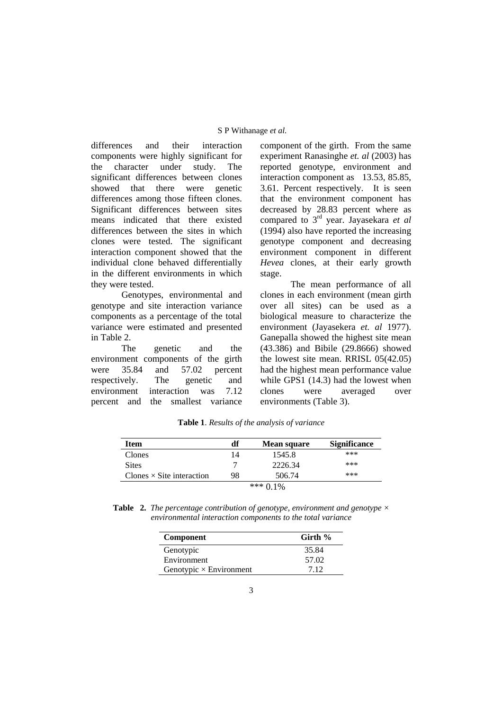#### S P Withanage *et al.*

differences and their interaction components were highly significant for the character under study. The significant differences between clones showed that there were genetic differences among those fifteen clones. Significant differences between sites means indicated that there existed differences between the sites in which clones were tested. The significant interaction component showed that the individual clone behaved differentially in the different environments in which they were tested.

 Genotypes, environmental and genotype and site interaction variance components as a percentage of the total variance were estimated and presented in Table 2.

The genetic and the environment components of the girth were 35.84 and 57.02 percent respectively. The genetic and environment interaction was 7.12 percent and the smallest variance

component of the girth. From the same experiment Ranasinghe *et. al* (2003) has reported genotype, environment and interaction component as 13.53, 85.85, 3.61. Percent respectively. It is seen that the environment component has decreased by 28.83 percent where as compared to 3rd year. Jayasekara *et al* (1994) also have reported the increasing genotype component and decreasing environment component in different *Hevea* clones, at their early growth stage.

The mean performance of all clones in each environment (mean girth over all sites) can be used as a biological measure to characterize the environment (Jayasekera *et. al* 1977). Ganepalla showed the highest site mean (43.386) and Bibile (29.8666) showed the lowest site mean. RRISL 05(42.05) had the highest mean performance value while GPS1 (14.3) had the lowest when clones were averaged over environments (Table 3).

| Item                             | df | <b>Mean square</b> | <b>Significance</b> |
|----------------------------------|----|--------------------|---------------------|
| Clones                           | 14 | 1545.8             | ***                 |
| <b>Sites</b>                     |    | 2226.34            | ***                 |
| Clones $\times$ Site interaction | 98 | 506.74             | ***                 |
|                                  |    | *** $0.1\%$        |                     |

**Table 1**. *Results of the analysis of variance*

**Table 2.** *The percentage contribution of genotype, environment and genotype × environmental interaction components to the total variance* 

| Component                      | Girth $%$ |
|--------------------------------|-----------|
| Genotypic                      | 35.84     |
| Environment                    | 57.02     |
| Genotypic $\times$ Environment | 7.12      |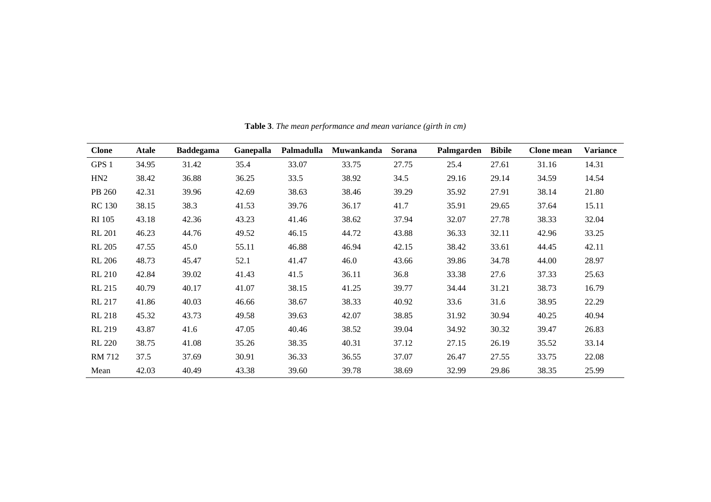| <b>Clone</b>  | <b>Atale</b> | <b>Baddegama</b> | Ganepalla | Palmadulla | Muwankanda | <b>Sorana</b> | Palmgarden | <b>Bibile</b> | <b>Clone</b> mean | <b>Variance</b> |
|---------------|--------------|------------------|-----------|------------|------------|---------------|------------|---------------|-------------------|-----------------|
| GPS 1         | 34.95        | 31.42            | 35.4      | 33.07      | 33.75      | 27.75         | 25.4       | 27.61         | 31.16             | 14.31           |
| HN2           | 38.42        | 36.88            | 36.25     | 33.5       | 38.92      | 34.5          | 29.16      | 29.14         | 34.59             | 14.54           |
| PB 260        | 42.31        | 39.96            | 42.69     | 38.63      | 38.46      | 39.29         | 35.92      | 27.91         | 38.14             | 21.80           |
| <b>RC</b> 130 | 38.15        | 38.3             | 41.53     | 39.76      | 36.17      | 41.7          | 35.91      | 29.65         | 37.64             | 15.11           |
| <b>RI</b> 105 | 43.18        | 42.36            | 43.23     | 41.46      | 38.62      | 37.94         | 32.07      | 27.78         | 38.33             | 32.04           |
| <b>RL 201</b> | 46.23        | 44.76            | 49.52     | 46.15      | 44.72      | 43.88         | 36.33      | 32.11         | 42.96             | 33.25           |
| <b>RL 205</b> | 47.55        | 45.0             | 55.11     | 46.88      | 46.94      | 42.15         | 38.42      | 33.61         | 44.45             | 42.11           |
| <b>RL 206</b> | 48.73        | 45.47            | 52.1      | 41.47      | 46.0       | 43.66         | 39.86      | 34.78         | 44.00             | 28.97           |
| <b>RL 210</b> | 42.84        | 39.02            | 41.43     | 41.5       | 36.11      | 36.8          | 33.38      | 27.6          | 37.33             | 25.63           |
| <b>RL 215</b> | 40.79        | 40.17            | 41.07     | 38.15      | 41.25      | 39.77         | 34.44      | 31.21         | 38.73             | 16.79           |
| <b>RL 217</b> | 41.86        | 40.03            | 46.66     | 38.67      | 38.33      | 40.92         | 33.6       | 31.6          | 38.95             | 22.29           |
| <b>RL 218</b> | 45.32        | 43.73            | 49.58     | 39.63      | 42.07      | 38.85         | 31.92      | 30.94         | 40.25             | 40.94           |
| <b>RL 219</b> | 43.87        | 41.6             | 47.05     | 40.46      | 38.52      | 39.04         | 34.92      | 30.32         | 39.47             | 26.83           |
| <b>RL</b> 220 | 38.75        | 41.08            | 35.26     | 38.35      | 40.31      | 37.12         | 27.15      | 26.19         | 35.52             | 33.14           |
| RM 712        | 37.5         | 37.69            | 30.91     | 36.33      | 36.55      | 37.07         | 26.47      | 27.55         | 33.75             | 22.08           |
| Mean          | 42.03        | 40.49            | 43.38     | 39.60      | 39.78      | 38.69         | 32.99      | 29.86         | 38.35             | 25.99           |

**Table 3**. *The mean performance and mean variance (girth in cm)*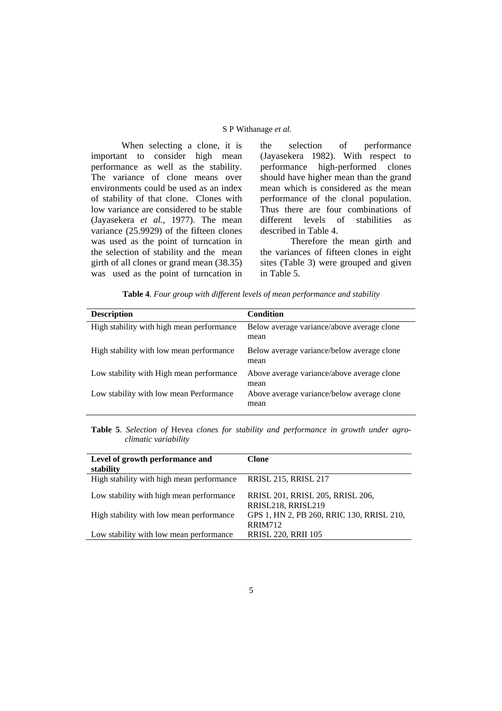# S P Withanage *et al.*

When selecting a clone, it is important to consider high mean performance as well as the stability. The variance of clone means over environments could be used as an index of stability of that clone. Clones with low variance are considered to be stable (Jayasekera *et al.,* 1977). The mean variance (25.9929) of the fifteen clones was used as the point of turncation in the selection of stability and the mean girth of all clones or grand mean (38.35) was used as the point of turncation in the selection of performance (Jayasekera 1982). With respect to performance high-performed clones should have higher mean than the grand mean which is considered as the mean performance of the clonal population. Thus there are four combinations of different levels of stabilities as described in Table 4.

Therefore the mean girth and the variances of fifteen clones in eight sites (Table 3) were grouped and given in Table 5.

|  |  |  | Table 4. Four group with different levels of mean performance and stability |  |
|--|--|--|-----------------------------------------------------------------------------|--|
|  |  |  |                                                                             |  |

| <b>Description</b>                        | Condition                                          |
|-------------------------------------------|----------------------------------------------------|
| High stability with high mean performance | Below average variance/above average clone<br>mean |
| High stability with low mean performance  | Below average variance/below average clone<br>mean |
| Low stability with High mean performance  | Above average variance/above average clone<br>mean |
| Low stability with low mean Performance   | Above average variance/below average clone<br>mean |

**Table 5**. *Selection of* Hevea *clones for stability and performance in growth under agroclimatic variability* 

| Level of growth performance and<br>stability | Clone                                                       |
|----------------------------------------------|-------------------------------------------------------------|
| High stability with high mean performance    | <b>RRISL 215, RRISL 217</b>                                 |
| Low stability with high mean performance     | RRISL 201, RRISL 205, RRISL 206,<br>RRISL218, RRISL219      |
| High stability with low mean performance     | GPS 1, HN 2, PB 260, RRIC 130, RRISL 210,<br><b>RRIM712</b> |
| Low stability with low mean performance      | <b>RRISL 220, RRII 105</b>                                  |